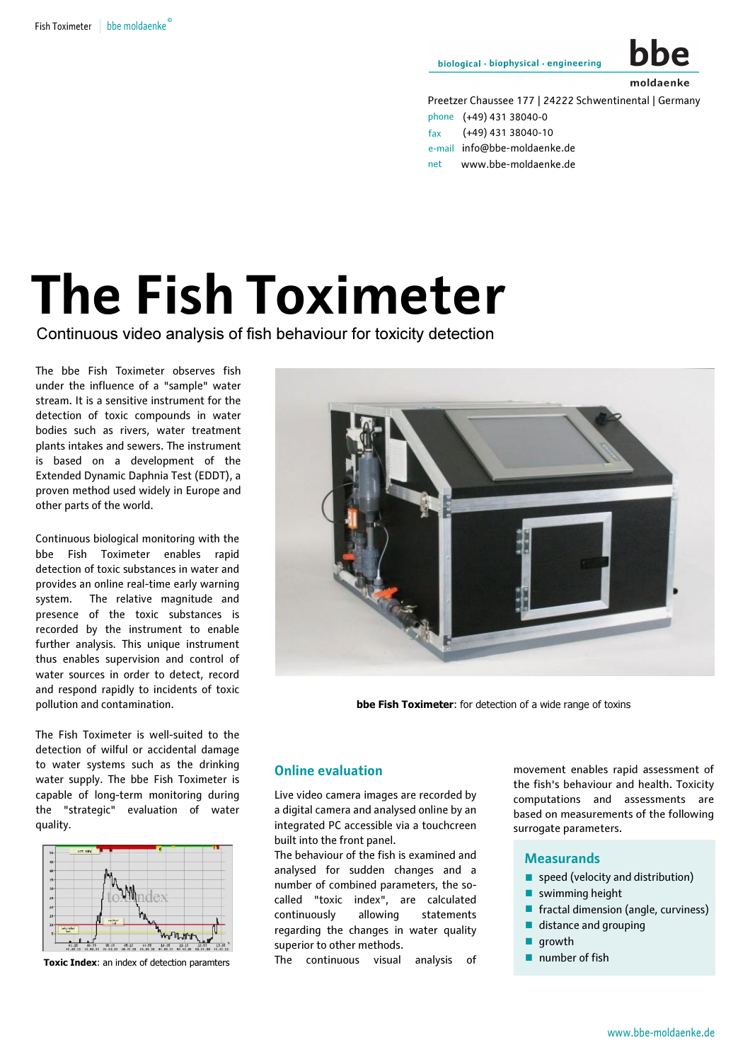biological · biophysical · engineering



Preetzer Chaussee 177 | 24222 Schwentinental | Germany

```
phone (+49) 431 38040-0
fax (+49) 431 38040-10
e-mail info@bbe-moldaenke.de
net www.bbe-moldaenke.de
```
# The Fish Toximeter

Continuous video analysis of fish behaviour for toxicity detection

The bbe Fish Toximeter observes fish under the influence of a "sample" water stream. It is a sensitive instrument for the detection of toxic compounds in water bodies such as rivers, water treatment plants intakes and sewers. The instrument is based on a development of the Extended Dynamic Daphnia Test (EDDT), a proven method used widely in Europe and other parts of the world.

 pollution and contamination. Continuous biological monitoring with the bbe Fish Toximeter enables rapid detection of toxic substances in water and provides an online real-time early warning system. The relative magnitude and presence of the toxic substances is recorded by the instrument to enable further analysis. This unique instrument thus enables supervision and control of water sources in order to detect, record and respond rapidly to incidents of toxic

The Fish Toximeter is well-suited to the detection of wilful or accidental damage to water systems such as the drinking water supply. The bbe Fish Toximeter is capable of long-term monitoring during the "strategic" evaluation of water quality.



Toxic Index: an index of detection paramters



**bbe Fish Toximeter:** for detection of a wide range of toxins

### Online evaluation

Live video camera images are recorded by a digital camera and analysed online by an integrated PC accessible via a touchcreen built into the front panel.

The behaviour of the fish is examined and analysed for sudden changes and a number of combined parameters, the socalled "toxic index", are calculated continuously allowing statements regarding the changes in water quality superior to other methods.

The continuous visual analysis of

movement enables rapid assessment of the fish's behaviour and health. Toxicity computations and assessments are based on measurements of the following surrogate parameters.

# **Measurands** urrc<br>
M<br>■

- M<br>...  $\frac{1}{2}$ speed (velocity and distribution)
- swimming height .
- fractal dimension (angle, curviness) .
- distance and grouping
- growth
- tractal dimensi<br>
 distance and g<br>
 growth<br>
 number of fish